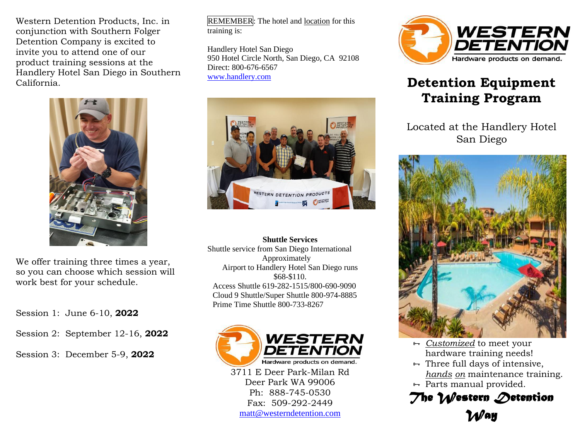Western Detention Products, Inc. in conjunction with Southern Folger Detention Company is excited to invite you to attend one of our product training sessions at the Handlery Hotel San Diego in Southern California.



We offer training three times a year, so you can choose which session will work best for your schedule.

Session 1: June 6-10, **2022**

Session 2: September 12-16, **2022**

Session 3: December 5-9, **2022**

REMEMBER: The hotel and location for this training is:

Handlery Hotel San Diego 950 Hotel Circle North, San Diego, CA 92108 Direct: 800-676-6567 [www.handlery.com](http://www.handlery.com/)



**Shuttle Services** Shuttle service from San Diego International Approximately Airport to Handlery Hotel San Diego runs \$68-\$110. Access Shuttle 619-282-1515/800-690-9090 Cloud 9 Shuttle/Super Shuttle 800-974-8885 Prime Time Shuttle 800-733-8267



3711 E Deer Park-Milan Rd Deer Park WA 99006 Ph: 888-745-0530 Fax: 509-292-2449 [matt@westerndetention.com](mailto:matt@westerndetention.com)



# **Detention Equipment Training Program**

Located at the Handlery Hotel San Diego



- *Customized* to meet your hardware training needs!
- $\rightarrow$  Three full days of intensive, *hands on* maintenance training.
- $\rightarrow$  Parts manual provided.

*The Western Detention Way*